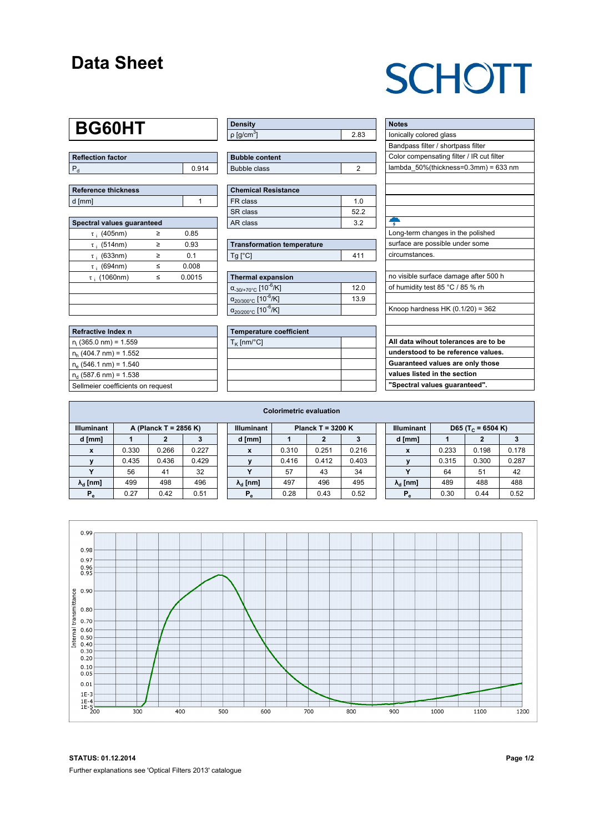#### **Data Sheet**

## **SCHOTT**

## **BG60HT**

| Reflection factor |       |  |  |  |  |  |
|-------------------|-------|--|--|--|--|--|
|                   | 0.914 |  |  |  |  |  |

| Reference thickness |  |  |  |  |  |  |  |
|---------------------|--|--|--|--|--|--|--|
| d [mm]              |  |  |  |  |  |  |  |

| Spectral values guaranteed |        |        |  |  |  |  |  |  |  |
|----------------------------|--------|--------|--|--|--|--|--|--|--|
| $\tau$ ; (405nm)           | ≥      | 0.85   |  |  |  |  |  |  |  |
| $\tau$ ; (514nm)           | ≥      | 0.93   |  |  |  |  |  |  |  |
| $\tau$ ; (633nm)           | ≥      | 0.1    |  |  |  |  |  |  |  |
| $\tau$ ; (694nm)           | <      | 0.008  |  |  |  |  |  |  |  |
| $\tau$ ; (1060nm)          | $\leq$ | 0.0015 |  |  |  |  |  |  |  |
|                            |        |        |  |  |  |  |  |  |  |
|                            |        |        |  |  |  |  |  |  |  |
|                            |        |        |  |  |  |  |  |  |  |

| Refractive Index n                |
|-----------------------------------|
| $n_i$ (365.0 nm) = 1.559          |
| $n_h$ (404.7 nm) = 1.552          |
| $n_e$ (546.1 nm) = 1.540          |
| $n_a$ (587.6 nm) = 1.538          |
| Sellmeier coefficients on request |

| <b>Density</b>              |      |
|-----------------------------|------|
| $\rho$ [g/cm <sup>3</sup> ] | 2.83 |

| <b>Bubble content</b> |  |
|-----------------------|--|
| Bubble class          |  |

| <b>Chemical Resistance</b> |     |  |  |  |  |  |  |
|----------------------------|-----|--|--|--|--|--|--|
| FR class                   | 1 በ |  |  |  |  |  |  |
| SR class                   | 522 |  |  |  |  |  |  |
| AR class                   | 32  |  |  |  |  |  |  |

| <b>Transformation temperature</b> |     |  |  |  |  |
|-----------------------------------|-----|--|--|--|--|
| $Ta$ $C1$                         | 411 |  |  |  |  |

| Thermal expansion                                 |      |
|---------------------------------------------------|------|
| $\alpha_{-30/+70\degree}$ c [10 <sup>-6</sup> /K] | 12.0 |
| $\alpha_{20/300^{\circ}C}$ [10 <sup>-6</sup> /K]  | 13.9 |
| $\alpha_{20/200^{\circ}C}$ [10 <sup>-6</sup> /K]  |      |

| <b>Temperature coefficient</b> |  |  |  |  |  |  |  |
|--------------------------------|--|--|--|--|--|--|--|
| $T_{\rm K}$ [nm/°C]            |  |  |  |  |  |  |  |
|                                |  |  |  |  |  |  |  |
|                                |  |  |  |  |  |  |  |
|                                |  |  |  |  |  |  |  |
|                                |  |  |  |  |  |  |  |

| <b>Notes</b>                              |
|-------------------------------------------|
| lonically colored glass                   |
| Bandpass filter / shortpass filter        |
| Color compensating filter / IR cut filter |
| lambda 50%(thickness=0.3mm) = 633 nm      |
|                                           |
|                                           |
|                                           |
|                                           |
|                                           |
| Long-term changes in the polished         |
| surface are possible under some           |
| circumstances.                            |
|                                           |
| no visible surface damage after 500 h     |
| of humidity test 85 °C / 85 % rh          |
|                                           |
| Knoop hardness HK $(0.1/20) = 362$        |
|                                           |
|                                           |
| All data wihout tolerances are to be      |
| understood to be reference values.        |
| Guaranteed values are only those          |
| values listed in the section              |
| "Spectral values guaranteed".             |

| <b>Colorimetric evaluation</b>             |       |       |       |                                          |                        |       |       |       |                                                    |                        |       |       |       |
|--------------------------------------------|-------|-------|-------|------------------------------------------|------------------------|-------|-------|-------|----------------------------------------------------|------------------------|-------|-------|-------|
| <b>Illuminant</b><br>A (Planck T = 2856 K) |       |       |       | Planck T = $3200 K$<br><b>Illuminant</b> |                        |       |       |       | <b>Illuminant</b><br>D65 (T <sub>c</sub> = 6504 K) |                        |       |       |       |
| d [mm]                                     |       |       |       |                                          | d [mm]                 |       |       |       |                                                    | d [mm]                 |       | 2     |       |
| X                                          | 0.330 | 0.266 | 0.227 |                                          | X                      | 0.310 | 0.251 | 0.216 |                                                    | X                      | 0.233 | 0.198 | 0.178 |
|                                            | 0.435 | 0.436 | 0.429 |                                          |                        | 0.416 | 0.412 | 0.403 |                                                    |                        | 0.315 | 0.300 | 0.287 |
|                                            | 56    | 41    | 32    |                                          |                        | 57    | 43    | 34    |                                                    |                        | 64    | 51    | 42    |
| $\lambda_{\rm d}$ [nm]                     | 499   | 498   | 496   |                                          | $\lambda_{\rm d}$ [nm] | 497   | 496   | 495   |                                                    | $\lambda_{\rm d}$ [nm] | 489   | 488   | 488   |
| $P_e$                                      | 0.27  | 0.42  | 0.51  |                                          | $P_e$                  | 0.28  | 0.43  | 0.52  |                                                    | $P_e$                  | 0.30  | 0.44  | 0.52  |
|                                            |       |       |       |                                          |                        |       |       |       |                                                    |                        |       |       |       |



**STATUS: 01.12.2014 Page 1/2** Further explanations see 'Optical Filters 2013' catalogue